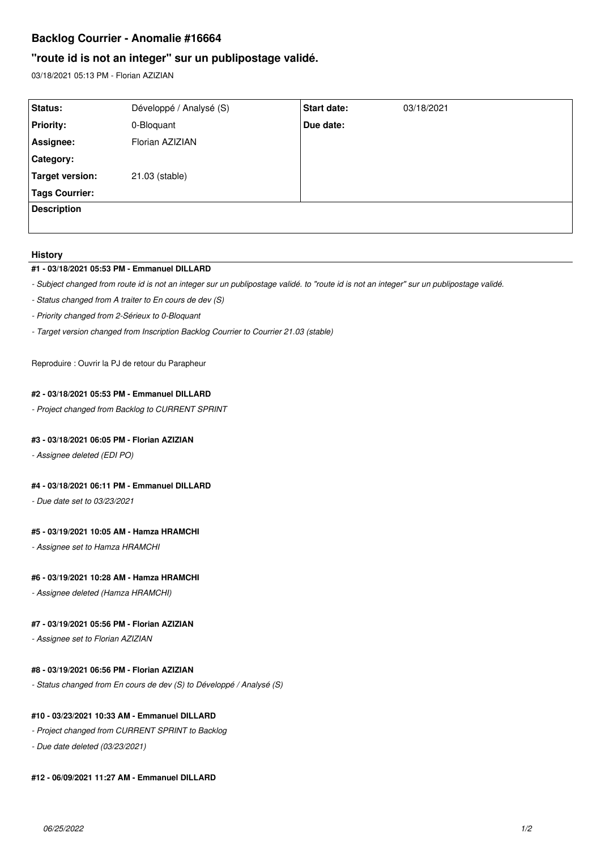# **Backlog Courrier - Anomalie #16664**

# **"route id is not an integer" sur un publipostage validé.**

03/18/2021 05:13 PM - Florian AZIZIAN

| Status:               | Développé / Analysé (S) | <b>Start date:</b> | 03/18/2021 |
|-----------------------|-------------------------|--------------------|------------|
| <b>Priority:</b>      | 0-Bloquant              | Due date:          |            |
| Assignee:             | Florian AZIZIAN         |                    |            |
| Category:             |                         |                    |            |
| Target version:       | 21.03 (stable)          |                    |            |
| <b>Tags Courrier:</b> |                         |                    |            |
| <b>Description</b>    |                         |                    |            |
|                       |                         |                    |            |

#### **History**

#### **#1 - 03/18/2021 05:53 PM - Emmanuel DILLARD**

*- Subject changed from route id is not an integer sur un publipostage validé. to "route id is not an integer" sur un publipostage validé.*

- *Status changed from A traiter to En cours de dev (S)*
- *Priority changed from 2-Sérieux to 0-Bloquant*
- *Target version changed from Inscription Backlog Courrier to Courrier 21.03 (stable)*

Reproduire : Ouvrir la PJ de retour du Parapheur

#### **#2 - 03/18/2021 05:53 PM - Emmanuel DILLARD**

*- Project changed from Backlog to CURRENT SPRINT*

### **#3 - 03/18/2021 06:05 PM - Florian AZIZIAN**

*- Assignee deleted (EDI PO)*

### **#4 - 03/18/2021 06:11 PM - Emmanuel DILLARD**

*- Due date set to 03/23/2021*

#### **#5 - 03/19/2021 10:05 AM - Hamza HRAMCHI**

*- Assignee set to Hamza HRAMCHI*

#### **#6 - 03/19/2021 10:28 AM - Hamza HRAMCHI**

*- Assignee deleted (Hamza HRAMCHI)*

#### **#7 - 03/19/2021 05:56 PM - Florian AZIZIAN**

*- Assignee set to Florian AZIZIAN*

## **#8 - 03/19/2021 06:56 PM - Florian AZIZIAN**

*- Status changed from En cours de dev (S) to Développé / Analysé (S)*

### **#10 - 03/23/2021 10:33 AM - Emmanuel DILLARD**

*- Project changed from CURRENT SPRINT to Backlog*

*- Due date deleted (03/23/2021)*

## **#12 - 06/09/2021 11:27 AM - Emmanuel DILLARD**